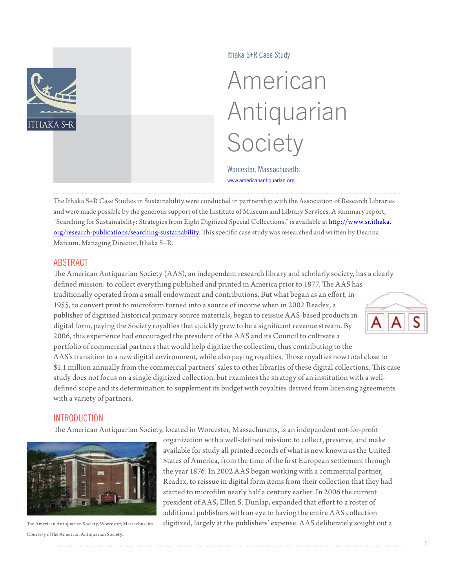

Ithaka S+R Case Study

# American Antiquarian Society

Worcester, Massachusetts <www.americanantiquarian.org>

The Ithaka S+R Case Studies in Sustainability were conducted in partnership with the Association of Research Libraries and were made possible by the generous support of the Institute of Museum and Library Services. A summary report, "Searching for Sustainability: Strategies from Eight Digitized Special Collections," is available at [http://www.sr.ithaka.](http://www.sr.ithaka.org/research-publications/searching-sustainability) [org/research-publications/searching-](http://www.sr.ithaka.org/research-publications/searching-sustainability)sustainability. This specific case study was researched and written by Deanna Marcum, Managing Director, Ithaka S+R.

# ABSTRACT

The American Antiquarian Society (AAS), an independent research library and scholarly society, has a clearly defined mission: to collect everything published and printed in America prior to 1877. The AAS has traditionally operated from a small endowment and contributions. But what began as an effort, in 1955, to convert print to microform turned into a source of income when in 2002 Readex, a publisher of digitized historical primary source materials, began to reissue AAS-based products in digital form, paying the Society royalties that quickly grew to be a significant revenue stream. By 2006, this experience had encouraged the president of the AAS and its Council to cultivate a portfolio of commercial partners that would help digitize the collection, thus contributing to the AAS's transition to a new digital environment, while also paying royalties. Those royalties now total close to \$1.1 million annually from the commercial partners' sales to other libraries of these digital collections. This case study does not focus on a single digitized collection, but examines the strategy of an institution with a welldefined scope and its determination to supplement its budget with royalties derived from licensing agreements with a variety of partners.

# **INTRODUCTION**

The American Antiquarian Society, located in Worcester, Massachusetts, is an independent not-for-profit



Courtesy of the American Antiquarian Society.

organization with a well-defined mission: to collect, preserve, and make available for study all printed records of what is now known as the United States of America, from the time of the first European settlement through the year 1876. In 2002 AAS began working with a commercial partner, Readex, to reissue in digital form items from their collection that they had started to microfilm nearly half a century earlier. In 2006 the current president of AAS, Ellen S. Dunlap, expanded that effort to a roster of additional publishers with an eye to having the entire AAS collection The American Antiquarian Society, Worcester, Massachusetts. digitized, largely at the publishers' expense. AAS deliberately sought out a

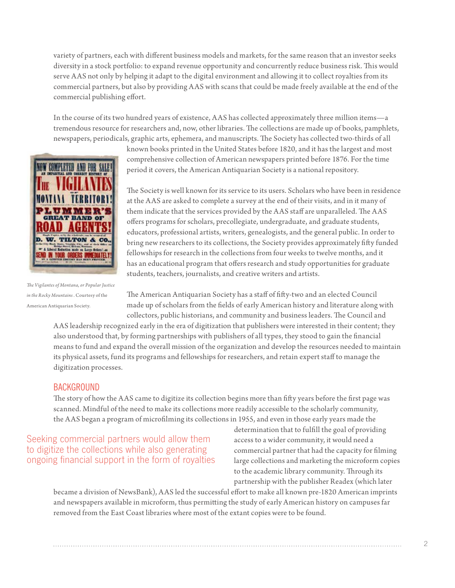variety of partners, each with different business models and markets, for the same reason that an investor seeks diversity in a stock portfolio: to expand revenue opportunity and concurrently reduce business risk. This would serve AAS not only by helping it adapt to the digital environment and allowing it to collect royalties from its commercial partners, but also by providing AAS with scans that could be made freely available at the end of the commercial publishing effort.

In the course of its two hundred years of existence, AAS has collected approximately three million items—a tremendous resource for researchers and, now, other libraries. The collections are made up of books, pamphlets, newspapers, periodicals, graphic arts, ephemera, and manuscripts. The Society has collected two-thirds of all



*The Vigilantes of Montana, or Popular Justice in the Rocky Mountains* . Courtesy of the American Antiquarian Society.

known books printed in the United States before 1820, and it has the largest and most comprehensive collection of American newspapers printed before 1876. For the time period it covers, the American Antiquarian Society is a national repository.

The Society is well known for its service to its users. Scholars who have been in residence at the AAS are asked to complete a survey at the end of their visits, and in it many of them indicate that the services provided by the AAS staff are unparalleled. The AAS offers programs for scholars, precollegiate, undergraduate, and graduate students, educators, professional artists, writers, genealogists, and the general public. In order to bring new researchers to its collections, the Society provides approximately fifty funded fellowships for research in the collections from four weeks to twelve months, and it has an educational program that offers research and study opportunities for graduate students, teachers, journalists, and creative writers and artists.

The American Antiquarian Society has a staff of fifty-two and an elected Council made up of scholars from the fields of early American history and literature along with collectors, public historians, and community and business leaders. The Council and

AAS leadership recognized early in the era of digitization that publishers were interested in their content; they also understood that, by forming partnerships with publishers of all types, they stood to gain the financial means to fund and expand the overall mission of the organization and develop the resources needed to maintain its physical assets, fund its programs and fellowships for researchers, and retain expert staff to manage the digitization processes.

## BACKGROUND

The story of how the AAS came to digitize its collection begins more than fifty years before the first page was scanned. Mindful of the need to make its collections more readily accessible to the scholarly community, the AAS began a program of microfilming its collections in 1955, and even in those early years made the

Seeking commercial partners would allow them to digitize the collections while also generating ongoing financial support in the form of royalties determination that to fulfill the goal of providing access to a wider community, it would need a commercial partner that had the capacity for filming large collections and marketing the microform copies to the academic library community. Through its partnership with the publisher Readex (which later

became a division of NewsBank), AAS led the successful effort to make all known pre-1820 American imprints and newspapers available in microform, thus permitting the study of early American history on campuses far removed from the East Coast libraries where most of the extant copies were to be found.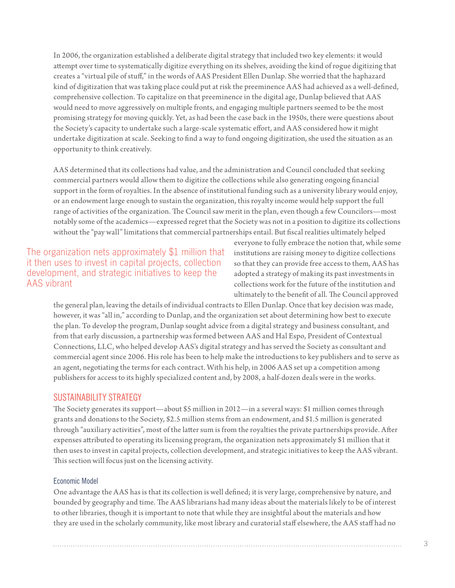In 2006, the organization established a deliberate digital strategy that included two key elements: it would attempt over time to systematically digitize everything on its shelves, avoiding the kind of rogue digitizing that creates a "virtual pile of stuff," in the words of AAS President Ellen Dunlap. She worried that the haphazard kind of digitization that was taking place could put at risk the preeminence AAS had achieved as a well-defined, comprehensive collection. To capitalize on that preeminence in the digital age, Dunlap believed that AAS would need to move aggressively on multiple fronts, and engaging multiple partners seemed to be the most promising strategy for moving quickly. Yet, as had been the case back in the 1950s, there were questions about the Society's capacity to undertake such a large-scale systematic effort, and AAS considered how it might undertake digitization at scale. Seeking to find a way to fund ongoing digitization, she used the situation as an opportunity to think creatively.

AAS determined that its collections had value, and the administration and Council concluded that seeking commercial partners would allow them to digitize the collections while also generating ongoing financial support in the form of royalties. In the absence of institutional funding such as a university library would enjoy, or an endowment large enough to sustain the organization, this royalty income would help support the full range of activities of the [organization. The](organization.The) Council saw merit in the plan, even though a few Councilors—most notably some of the academics—expressed regret that the Society was not in a position to digitize its collections without the "pay wall" limitations that commercial partnerships entail. But fiscal realities ultimately helped

# The organization nets approximately \$1 million that it then uses to invest in capital projects, collection development, and strategic initiatives to keep the AAS vibrant

everyone to fully embrace the notion that, while some institutions are raising money to digitize collections so that they can provide free access to them, AAS has adopted a strategy of making its past investments in collections work for the future of the institution and ultimately to the benefit of all. The Council approved

the general plan, leaving the details of individual contracts to Ellen Dunlap. Once that key decision was made, however, it was "all in," according to Dunlap, and the organization set about determining how best to execute the plan. To develop the program, Dunlap sought advice from a digital strategy and business consultant, and from that early discussion, a partnership was formed between AAS and Hal Espo, President of Contextual Connections, LLC, who helped develop AAS's digital strategy and has served the Society as consultant and commercial agent since 2006. His role has been to help make the introductions to key publishers and to serve as an agent, negotiating the terms for each contract. With his help, in 2006 AAS set up a competition among publishers for access to its highly specialized content and, by 2008, a half-dozen deals were in the works.

## SUSTAINABILITY STRATEGY

The Society generates its support—about \$5 million in 2012—in a several ways: \$1 million comes through grants and donations to the Society, \$2.5 million stems from an endowment, and \$1.5 million is generated through "auxiliary activities", most of the latter sum is from the royalties the private partnerships provide. After expenses attributed to operating its licensing program, the organization nets approximately \$1 million that it then uses to invest in capital projects, collection development, and strategic initiatives to keep the AAS vibrant. This section will focus just on the licensing activity.

#### Economic Model

One advantage the AAS has is that its collection is well defined; it is very large, comprehensive by nature, and bounded by geography and time. The AAS librarians had many ideas about the materials likely to be of interest to other libraries, though it is important to note that while they are insightful about the materials and how they are used in the scholarly community, like most library and curatorial staff elsewhere, the AAS staff had no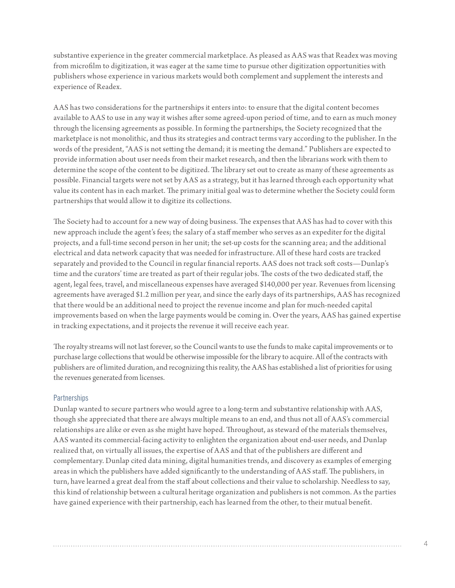substantive experience in the greater commercial marketplace. As pleased as AAS was that Readex was moving from microfilm to digitization, it was eager at the same time to pursue other digitization opportunities with publishers whose experience in various markets would both complement and supplement the interests and experience of Readex.

AAS has two considerations for the partnerships it enters into: to ensure that the digital content becomes available to AAS to use in any way it wishes after some agreed-upon period of time, and to earn as much money through the licensing agreements as possible. In forming the partnerships, the Society recognized that the marketplace is not monolithic, and thus its strategies and contract terms vary according to the publisher. In the words of the president, "AAS is not setting the demand; it is meeting the demand." Publishers are expected to provide information about user needs from their market research, and then the librarians work with them to determine the scope of the content to be digitized. The library set out to create as many of these agreements as possible. Financial targets were not set by AAS as a strategy, but it has learned through each opportunity what value its content has in each market. The primary initial goal was to determine whether the Society could form partnerships that would allow it to digitize its collections.

The Society had to account for a new way of doing business. The expenses that AAS has had to cover with this new approach include the agent's fees; the salary of a staff member who serves as an expediter for the digital projects, and a full-time second person in her unit; the set-up costs for the scanning area; and the additional electrical and data network capacity that was needed for infrastructure. All of these hard costs are tracked separately and provided to the Council in regular financial reports. AAS does not track soft costs—Dunlap's time and the curators' time are treated as part of their regular jobs. The costs of the two dedicated staff, the agent, legal fees, travel, and miscellaneous expenses have averaged \$140,000 per year. Revenues from licensing agreements have averaged \$1.2 million per year, and since the early days of its partnerships, AAS has recognized that there would be an additional need to project the revenue income and plan for much-needed capital improvements based on when the large payments would be coming in. Over the years, AAS has gained expertise in tracking expectations, and it projects the revenue it will receive each year.

The royalty streams will not last forever, so the Council wants to use the funds to make capital improvements or to purchase large collections that would be otherwise impossible for the library to acquire. All of the contracts with publishers are of limited duration, and recognizing this reality, the AAS has established a list of priorities for using the revenues generated from licenses.

#### **Partnerships**

Dunlap wanted to secure partners who would agree to a long-term and substantive relationship with AAS, though she appreciated that there are always multiple means to an end, and thus not all of AAS's commercial relationships are alike or even as she might have hoped. Throughout, as steward of the materials themselves, AAS wanted its commercial-facing activity to enlighten the organization about end-user needs, and Dunlap realized that, on virtually all issues, the expertise of AAS and that of the publishers are different and complementary. Dunlap cited data mining, digital humanities trends, and discovery as examples of emerging areas in which the publishers have added significantly to the understanding of AAS staff. The publishers, in turn, have learned a great deal from the staff about collections and their value to scholarship. Needless to say, this kind of relationship between a cultural heritage organization and publishers is not common. As the parties have gained experience with their partnership, each has learned from the other, to their mutual benefit.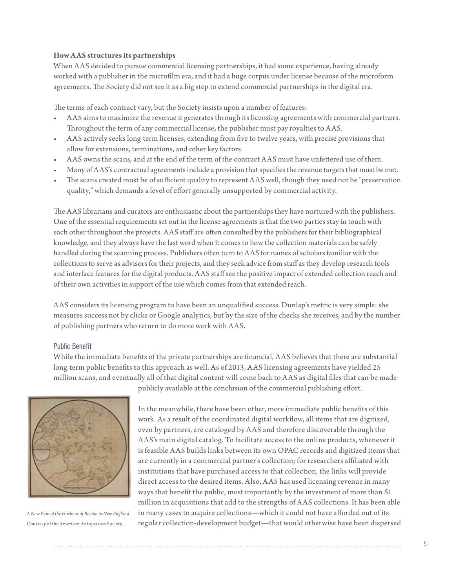#### **How AAS structures its partnerships**

When AAS decided to pursue commercial licensing partnerships, it had some experience, having already worked with a publisher in the microfilm era, and it had a huge corpus under license because of the microform agreements. The Society did not see it as a big step to extend commercial partnerships in the digital era.

The terms of each contract vary, but the Society insists upon a number of features:

- AAS aims to maximize the revenue it generates through its licensing agreements with commercial partners. Throughout the term of any commercial license, the publisher must pay royalties to AAS.
- AAS actively seeks long-term licenses, extending from five to twelve years, with precise provisions that allow for extensions, terminations, and other key factors.
- AAS owns the scans, and at the end of the term of the contract AAS must have unfettered use of them.
- Many of AAS's contractual agreements include a provision that specifies the revenue targets that must be met.
- The scans created must be of sufficient quality to represent AAS well, though they need not be "preservation" quality," which demands a level of effort generally unsupported by commercial activity.

The AAS librarians and curators are enthusiastic about the partnerships they have nurtured with the publishers. One of the essential requirements set out in the license agreements is that the two parties stay in touch with each other throughout the projects. AAS staff are often consulted by the publishers for their bibliographical knowledge, and they always have the last word when it comes to how the collection materials can be safely handled during the scanning process. Publishers often turn to AAS for names of scholars familiar with the collections to serve as advisors for their projects, and they seek advice from staff as they develop research tools and interface features for the digital products. AAS staff see the positive impact of extended collection reach and of their own activities in support of the use which comes from that extended reach.

AAS considers its licensing program to have been an unqualified success. Dunlap's metric is very simple: she measures success not by clicks or Google analytics, but by the size of the checks she receives, and by the number of publishing partners who return to do more work with AAS.

#### Public Benefit

While the immediate benefits of the private partnerships are financial, AAS believes that there are substantial long-term public benefits to this approach as well. As of 2013, AAS licensing agreements have yielded 25 million scans, and eventually all of that digital content will come back to AAS as digital files that can be made



*A New Plan of the Harbour of Boston in New England*. Courtesy of the American Antiquarian Society.

publicly available at the conclusion of the commercial publishing effort.

In the meanwhile, there have been other, more immediate public benefits of this work. As a result of the coordinated digital workflow, all items that are digitized, even by partners, are cataloged by AAS and therefore discoverable through the AAS's main digital catalog. To facilitate access to the online products, whenever it is feasible AAS builds links between its own OPAC records and digitized items that are currently in a commercial partner's collection; for researchers affiliated with institutions that have purchased access to that collection, the links will provide direct access to the desired items. Also, AAS has used licensing revenue in many ways that benefit the public, most importantly by the investment of more than \$1 million in acquisitions that add to the strengths of AAS collections. It has been able in many cases to acquire collections—which it could not have afforded out of its regular collection-development budget—that would otherwise have been dispersed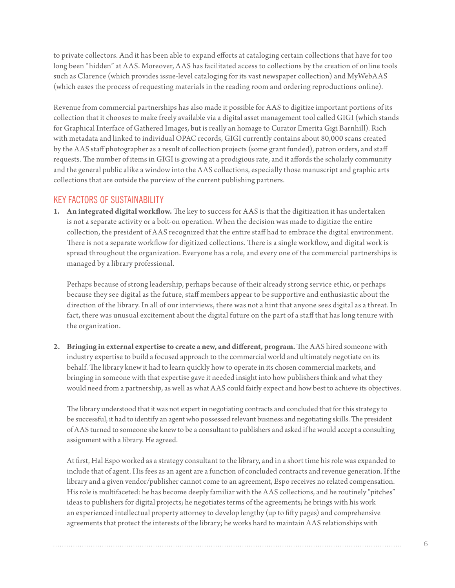to private collectors. And it has been able to expand efforts at cataloging certain collections that have for too long been "hidden" at AAS. Moreover, AAS has facilitated access to collections by the creation of online tools such as Clarence (which provides issue-level cataloging for its vast newspaper collection) and MyWebAAS (which eases the process of requesting materials in the reading room and ordering reproductions online).

Revenue from commercial partnerships has also made it possible for AAS to digitize important portions of its collection that it chooses to make freely available via a digital asset management tool called GIGI (which stands for Graphical Interface of Gathered Images, but is really an homage to Curator Emerita Gigi Barnhill). Rich with metadata and linked to individual OPAC records, GIGI currently contains about 80,000 scans created by the AAS staff photographer as a result of collection projects (some grant funded), patron orders, and staff requests. The number of items in GIGI is growing at a prodigious rate, and it affords the scholarly community and the general public alike a window into the AAS collections, especially those manuscript and graphic arts collections that are outside the purview of the current publishing partners.

# KEY FACTORS OF SUSTAINABILITY

**1. An integrated digital workflow.** The key to success for AAS is that the digitization it has undertaken is not a separate activity or a bolt-on operation. When the decision was made to digitize the entire collection, the president of AAS recognized that the entire staff had to embrace the digital environment. There is not a separate workflow for digitized collections. There is a single workflow, and digital work is spread throughout the organization. Everyone has a role, and every one of the commercial partnerships is managed by a library professional.

Perhaps because of strong leadership, perhaps because of their already strong service ethic, or perhaps because they see digital as the future, staff members appear to be supportive and enthusiastic about the direction of the library. In all of our interviews, there was not a hint that anyone sees digital as a threat. In fact, there was unusual excitement about the digital future on the part of a staff that has long tenure with the organization.

**2. Bringing in external expertise to create a new, and different, program.** The AAS hired someone with industry expertise to build a focused approach to the commercial world and ultimately negotiate on its behalf. The library knew it had to learn quickly how to operate in its chosen commercial markets, and bringing in someone with that expertise gave it needed insight into how publishers think and what they would need from a partnership, as well as what AAS could fairly expect and how best to achieve its objectives.

The library understood that it was not expert in negotiating contracts and concluded that for this strategy to be successful, it had to identify an agent who possessed relevant business and negotiating skills. The president of AAS turned to someone she knew to be a consultant to publishers and asked if he would accept a consulting assignment with a library. He agreed.

At first, Hal Espo worked as a strategy consultant to the library, and in a short time his role was expanded to include that of agent. His fees as an agent are a function of concluded contracts and revenue generation. If the library and a given vendor/publisher cannot come to an agreement, Espo receives no related compensation. His role is multifaceted: he has become deeply familiar with the AAS collections, and he routinely "pitches" ideas to publishers for digital projects; he negotiates terms of the agreements; he brings with his work an experienced intellectual property attorney to develop lengthy (up to fifty pages) and comprehensive agreements that protect the interests of the library; he works hard to maintain AAS relationships with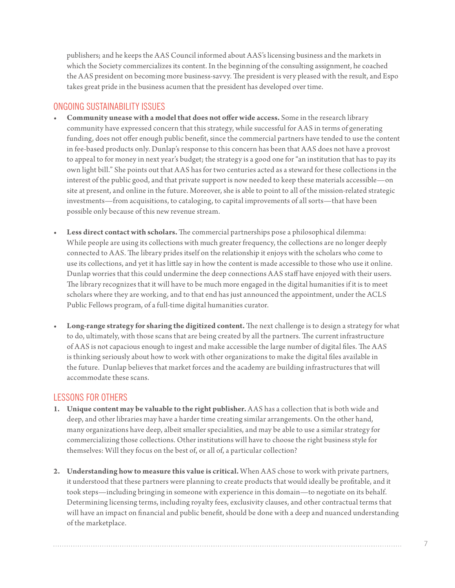publishers; and he keeps the AAS Council informed about AAS's licensing business and the markets in which the Society commercializes its content. In the beginning of the consulting assignment, he coached the AAS president on becoming more business-savvy. The president is very pleased with the result, and Espo takes great pride in the business acumen that the president has developed over time.

## ONGOING SUSTAINABILITY ISSUES

- **• Community unease with a model that does not offer wide access.** Some in the research library community have expressed concern that this strategy, while successful for AAS in terms of generating funding, does not offer enough public benefit, since the commercial partners have tended to use the content in fee-based products only. Dunlap's response to this concern has been that AAS does not have a provost to appeal to for money in next year's budget; the strategy is a good one for "an institution that has to pay its own light bill." She points out that AAS has for two centuries acted as a steward for these collections in the interest of the public good, and that private support is now needed to keep these materials accessible—on site at present, and online in the future. Moreover, she is able to point to all of the mission-related strategic investments—from acquisitions, to cataloging, to capital improvements of all sorts—that have been possible only because of this new revenue stream.
- Less direct contact with scholars. The commercial partnerships pose a philosophical dilemma: While people are using its collections with much greater frequency, the collections are no longer deeply connected to AAS. The library prides itself on the relationship it enjoys with the scholars who come to use its collections, and yet it has little say in how the content is made accessible to those who use it online. Dunlap worries that this could undermine the deep connections AAS staff have enjoyed with their users. The library recognizes that it will have to be much more engaged in the digital humanities if it is to meet scholars where they are working, and to that end has just announced the appointment, under the ACLS Public Fellows program, of a full-time digital humanities curator.
- **Long-range strategy for sharing the digitized content.** The next challenge is to design a strategy for what to do, ultimately, with those scans that are being created by all the partners. The current infrastructure of AAS is not capacious enough to ingest and make accessible the large number of digital files. The AAS is thinking seriously about how to work with other organizations to make the digital files available in the future. Dunlap believes that market forces and the academy are building infrastructures that will accommodate these scans.

# LESSONS FOR OTHERS

- **1. Unique content may be valuable to the right publisher.** AAS has a collection that is both wide and deep, and other libraries may have a harder time creating similar arrangements. On the other hand, many organizations have deep, albeit smaller specialities, and may be able to use a similar strategy for commercializing those collections. Other institutions will have to choose the right business style for themselves: Will they focus on the best of, or all of, a particular collection?
- **2. Understanding how to measure this value is critical.** When AAS chose to work with private partners, it understood that these partners were planning to create products that would ideally be profitable, and it took steps—including bringing in someone with experience in this domain—to negotiate on its behalf. Determining licensing terms, including royalty fees, exclusivity clauses, and other contractual terms that will have an impact on financial and public benefit, should be done with a deep and nuanced understanding of the marketplace.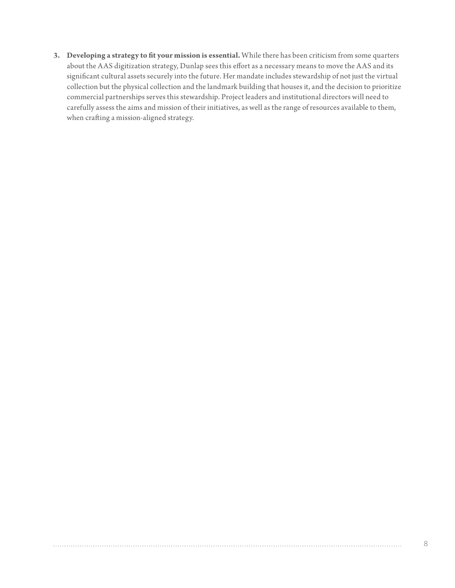**3. Developing a strategy to fit your mission is essential.** While there has been criticism from some quarters about the AAS digitization strategy, Dunlap sees this effort as a necessary means to move the AAS and its significant cultural assets securely into the future. Her mandate includes stewardship of not just the virtual collection but the physical collection and the landmark building that houses it, and the decision to prioritize commercial partnerships serves this stewardship. Project leaders and institutional directors will need to carefully assess the aims and mission of their initiatives, as well as the range of resources available to them, when crafting a mission-aligned strategy.